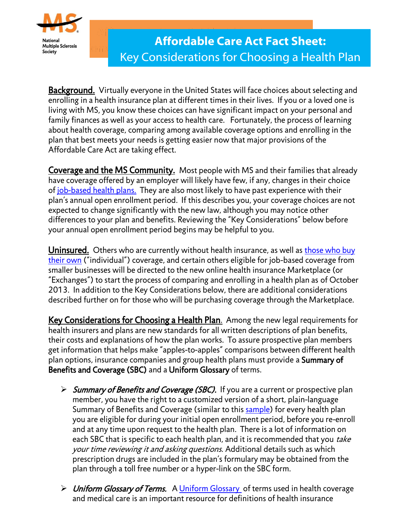

**Background.** Virtually everyone in the United States will face choices about selecting and enrolling in a health insurance plan at different times in their lives. If you or a loved one is living with MS, you know these choices can have significant impact on your personal and family finances as well as your access to health care. Fortunately, the process of learning about health coverage, comparing among available coverage options and enrolling in the plan that best meets your needs is getting easier now that major provisions of the Affordable Care Act are taking effect.

Coverage and the MS Community. Most people with MS and their families that already have coverage offered by an employer will likely have few, if any, changes in their choice of [job-based health plans.](http://www.nationalmssociety.org/government-affairs-and-advocacy/health-care-reform-resources/download.aspx?id=48457) They are also most likely to have past experience with their plan's annual open enrollment period. If this describes you, your coverage choices are not expected to change significantly with the new law, although you may notice other differences to your plan and benefits. Reviewing the "Key Considerations" below before your annual open enrollment period begins may be helpful to you.

Uninsured. Others who are currently without health insurance, as well as those who buy [their own](http://www.nationalmssociety.org/government-affairs-and-advocacy/health-care-reform-resources/download.aspx?id=48459) ("individual") coverage, and certain others eligible for job-based coverage from smaller businesses will be directed to the new online health insurance Marketplace (or "Exchanges") to start the process of comparing and enrolling in a health plan as of October 2013. In addition to the Key Considerations below, there are additional considerations described further on for those who will be purchasing coverage through the Marketplace.

Key Considerations for Choosing a Health Plan. Among the new legal requirements for health insurers and plans are new standards for all written descriptions of plan benefits, their costs and explanations of how the plan works. To assure prospective plan members get information that helps make "apples-to-apples" comparisons between different health plan options, insurance companies and group health plans must provide a Summary of Benefits and Coverage (SBC) and a Uniform Glossary of terms.

- $\triangleright$  Summary of Benefits and Coverage (SBC). If you are a current or prospective plan member, you have the right to a customized version of a short, plain-language Summary of Benefits and Coverage (similar to this [sample\)](http://www.dol.gov/ebsa/pdf/SBCtemplate.pdf) for every health plan you are eligible for during your initial open enrollment period, before you re-enroll and at any time upon request to the health plan. There is a lot of information on each SBC that is specific to each health plan, and it is recommended that you take your time reviewing it and asking questions. Additional details such as which prescription drugs are included in the plan's formulary may be obtained from the plan through a toll free number or a hyper-link on the SBC form.
- $\triangleright$  [Uniform Glossary](http://www.dol.gov/ebsa/pdf/SBCUniformGlossary.pdf) of Terms. A Uniform Glossary of terms used in health coverage and medical care is an important resource for definitions of health insurance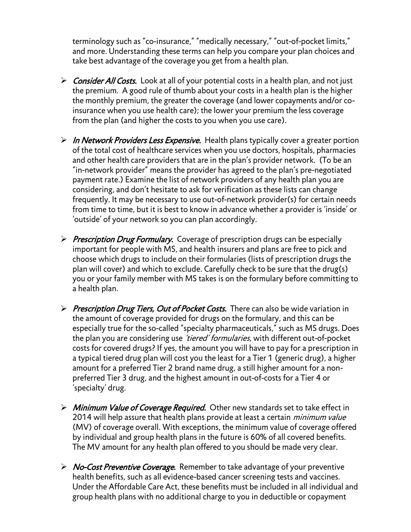terminology such as "co-insurance," "medically necessary," "out-of-pocket limits," and more. Understanding these terms can help you compare your plan choices and take best advantage of the coverage you get from a health plan.

- $\triangleright$  Consider All Costs. Look at all of your potential costs in a health plan, and not just the premium. A good rule of thumb about your costs in a health plan is the higher the monthly premium, the greater the coverage (and lower copayments and/or coinsurance when you use health care); the lower your premium the less coverage from the plan (and higher the costs to you when you use care).
- $\triangleright$  In Network Providers Less Expensive. Health plans typically cover a greater portion of the total cost of healthcare services when you use doctors, hospitals, pharmacies and other health care providers that are in the plan's provider network. (To be an "in-network provider" means the provider has agreed to the plan's pre-negotiated payment rate.) Examine the list of network providers of any health plan you are considering, and don't hesitate to ask for verification as these lists can change frequently. It may be necessary to use out-of-network provider(s) for certain needs from time to time, but it is best to know in advance whether a provider is 'inside' or 'outside' of your network so you can plan accordingly.
- $\triangleright$  Prescription Drug Formulary. Coverage of prescription drugs can be especially important for people with MS, and health insurers and plans are free to pick and choose which drugs to include on their formularies (lists of prescription drugs the plan will cover) and which to exclude. Carefully check to be sure that the drug(s) you or your family member with MS takes is on the formulary before committing to a health plan.
- Prescription Drug Tiers, Out of Pocket Costs. There can also be wide variation in the amount of coverage provided for drugs on the formulary, and this can be especially true for the so-called "specialty pharmaceuticals," such as MS drugs. Does the plan you are considering use *'tiered' formularies*, with different out-of-pocket costs for covered drugs? If yes, the amount you will have to pay for a prescription in a typical tiered drug plan will cost you the least for a Tier 1 (generic drug), a higher amount for a preferred Tier 2 brand name drug, a still higher amount for a nonpreferred Tier 3 drug, and the highest amount in out-of-costs for a Tier 4 or 'specialty' drug.
- $\triangleright$  Minimum Value of Coverage Required. Other new standards set to take effect in 2014 will help assure that health plans provide at least a certain *minimum value* (MV) of coverage overall. With exceptions, the minimum value of coverage offered by individual and group health plans in the future is 60% of all covered benefits. The MV amount for any health plan offered to you should be made very clear.
- $\triangleright$  No-Cost Preventive Coverage. Remember to take advantage of your preventive health benefits, such as all evidence-based cancer screening tests and vaccines. Under the Affordable Care Act, these benefits must be included in all individual and group health plans with no additional charge to you in deductible or copayment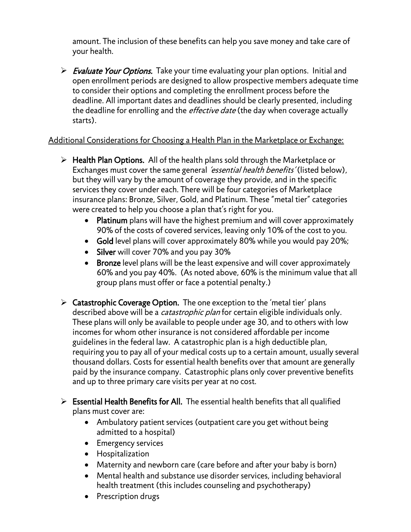amount. The inclusion of these benefits can help you save money and take care of your health.

 $\triangleright$  Evaluate Your Options. Take your time evaluating your plan options. Initial and open enrollment periods are designed to allow prospective members adequate time to consider their options and completing the enrollment process before the deadline. All important dates and deadlines should be clearly presented, including the deadline for enrolling and the *effective date* (the day when coverage actually starts).

## Additional Considerations for Choosing a Health Plan in the Marketplace or Exchange:

- $\triangleright$  Health Plan Options. All of the health plans sold through the Marketplace or Exchanges must cover the same general *'essential health benefits'* (listed below), but they will vary by the amount of coverage they provide, and in the specific services they cover under each. There will be four categories of Marketplace insurance plans: Bronze, Silver, Gold, and Platinum. These "metal tier" categories were created to help you choose a plan that's right for you.
	- Platinum plans will have the highest premium and will cover approximately 90% of the costs of covered services, leaving only 10% of the cost to you.
	- Gold level plans will cover approximately 80% while you would pay 20%;
	- Silver will cover 70% and you pay 30%
	- Bronze level plans will be the least expensive and will cover approximately 60% and you pay 40%. (As noted above, 60% is the minimum value that all group plans must offer or face a potential penalty.)
- $\triangleright$  Catastrophic Coverage Option. The one exception to the 'metal tier' plans described above will be a *catastrophic plan* for certain eligible individuals only. These plans will only be available to people under age 30, and to others with low incomes for whom other insurance is not considered affordable per income guidelines in the federal law. A catastrophic plan is a high deductible plan, requiring you to pay all of your medical costs up to a certain amount, usually several thousand dollars. Costs for essential health benefits over that amount are generally paid by the insurance company. Catastrophic plans only cover preventive benefits and up to three primary care visits per year at no cost.
- $\triangleright$  Essential Health Benefits for All. The essential health benefits that all qualified plans must cover are:
	- Ambulatory patient services (outpatient care you get without being admitted to a hospital)
	- **•** Emergency services
	- Hospitalization
	- Maternity and newborn care (care before and after your baby is born)
	- Mental health and substance use disorder services, including behavioral health treatment (this includes counseling and psychotherapy)
	- Prescription drugs